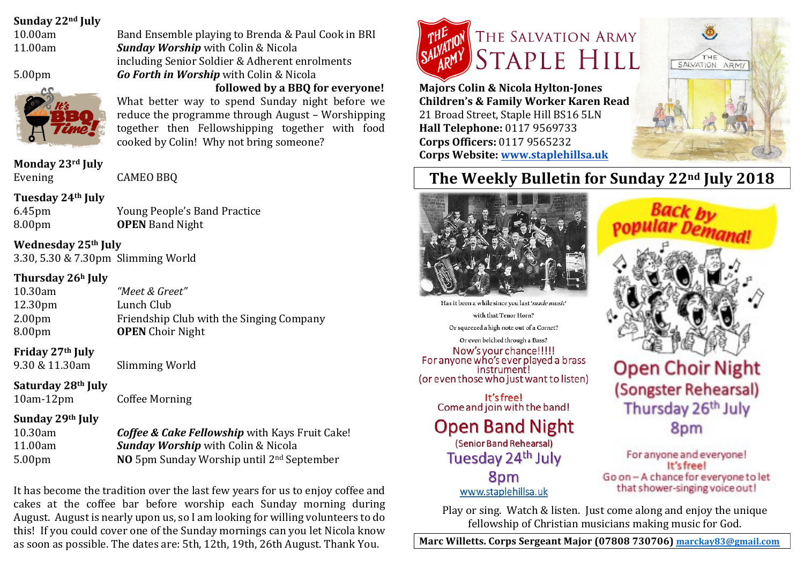### **Sunday 22nd July**

10.00am Band Ensemble playing to Brenda & Paul Cook in BRI



11.00am *Sunday Worship* with Colin & Nicola including Senior Soldier & Adherent enrolments 5.00pm *Go Forth in Worship* with Colin & Nicola **followed by a BBO for everyone!** What better way to spend Sunday night before we

reduce the programme through August - Worshipping together then Fellowshipping together with food cooked by Colin! Why not bring someone?

### **Monday 23rd July**

Evening CAMEO BBQ

### **Tuesday 24th July**

6.45pm Young People's Band Practice 8.00pm **OPEN** Band Night

**Wednesday 25th July** 3.30, 5.30 & 7.30pm Slimming World

### **Thursday 26h July**

| 10.30am             | "Meet & Greet"                           |
|---------------------|------------------------------------------|
| 12.30 <sub>pm</sub> | Lunch Club                               |
| 2.00 <sub>pm</sub>  | Friendship Club with the Singing Company |
| 8.00 <sub>pm</sub>  | <b>OPEN</b> Choir Night                  |

### **Friday 27th July**

9.30 & 11.30am Slimming World

### **Saturday 28th July**

10am-12pm Coffee Morning

## **Sunday 29th July**

10.30am *Coffee & Cake Fellowship* with Kays Fruit Cake! 11.00am *Sunday Worship* with Colin & Nicola 5.00pm **NO** 5pm Sunday Worship until 2<sup>nd</sup> September

It has become the tradition over the last few years for us to enjoy coffee and cakes at the coffee bar before worship each Sunday morning during August. August is nearly upon us, so I am looking for willing volunteers to do this! If you could cover one of the Sunday mornings can you let Nicola know as soon as possible. The dates are: 5th, 12th, 19th, 26th August. Thank You.



**Majors Colin & Nicola Hylton-Jones Children's & Family Worker Karen Read** 21 Broad Street, Staple Hill BS16 5LN **Hall Telephone:** 0117 9569733 **Corps Officers:** 0117 9565232 **Corps Website: www.staplehillsa.uk**



# **The Weekly Bulletin for Sunday 22nd July 2018**



Has it been a while since you last 'made music' with that Tenor Horn? Or squeezed a high note out of a Cornet? Or even belched through a Bass?

Now's your chance!!!!! For anyone who's ever played a brass instrument! (or even those who just want to listen)

> It's free! Come and join with the band!

# **Open Band Night** (Senior Band Rehearsal)

Tuesday 24<sup>th</sup> July 8pm www.staplehillsa.uk



# **Open Choir Night** (Songster Rehearsal) Thursday 26th July 8pm

For anyone and everyone! It's free! Go on - A chance for everyone to let that shower-singing voice out!

Play or sing. Watch & listen. Just come along and enjoy the unique fellowship of Christian musicians making music for God.

**Marc Willetts. Corps Sergeant Major (07808 730706) marckay83@gmail.com**